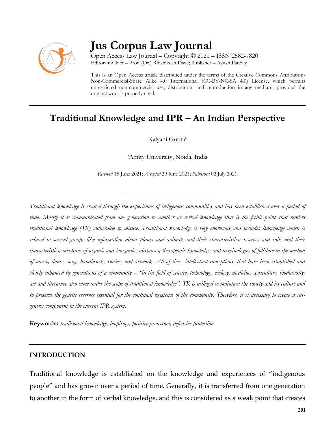

# **Jus Corpus Law Journal**

Open Access Law Journal – Copyright © 2021 – ISSN 2582-7820 Editor-in-Chief – Prof. (Dr.) Rhishikesh Dave; Publisher – Ayush Pandey

This is an Open Access article distributed under the terms of the Creative Commons Attribution-Non-Commercial-Share Alike 4.0 International (CC-BY-NC-SA 4.0) License, which permits unrestricted non-commercial use, distribution, and reproduction in any medium, provided the original work is properly cited.

# **Traditional Knowledge and IPR – An Indian Perspective**

Kalyani Gupta<sup>a</sup>

<sup>a</sup>Amity University, Noida, India

*Received* 15 June 2021; *Accepted* 29 June 2021; *Published* 02 July 2021

\_\_\_\_\_\_\_\_\_\_\_\_\_\_\_\_\_\_\_\_\_\_\_\_\_\_\_\_\_\_\_\_\_\_

*Traditional knowledge is created through the experiences of indigenous communities and has been established over a period of time. Mostly it is communicated from one generation to another as verbal knowledge that is the feeble point that renders traditional knowledge (TK) vulnerable to misuse. Traditional knowledge is very enormous and includes knowledge which is related to several groups like information about plants and animals and their characteristics; reserves and soils and their characteristics; mixtures of organic and inorganic substances; therapeutic knowledge; and terminologies of folklore in the method of music, dance, song, handiwork, stories, and artwork. All of these intellectual conceptions, that have been established and slowly enhanced by generations of a community – "in the field of science, technology, ecology, medicine, agriculture, biodiversity; art and literature also come under the scope of traditional knowledge". TK is utilized to maintain the society and its culture and to preserve the genetic reserves essential for the continual existence of the community. Therefore, it is necessary to create a suigeneris component in the current IPR system.*

**Keywords:** *traditional knowledge, biopiracy, positive protection, defensive protection.*

#### **INTRODUCTION**

Traditional knowledge is established on the knowledge and experiences of "indigenous people" and has grown over a period of time. Generally, it is transferred from one generation to another in the form of verbal knowledge, and this is considered as a weak point that creates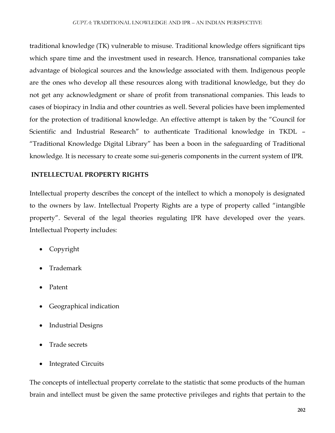traditional knowledge (TK) vulnerable to misuse. Traditional knowledge offers significant tips which spare time and the investment used in research. Hence, transnational companies take advantage of biological sources and the knowledge associated with them. Indigenous people are the ones who develop all these resources along with traditional knowledge, but they do not get any acknowledgment or share of profit from transnational companies. This leads to cases of biopiracy in India and other countries as well. Several policies have been implemented for the protection of traditional knowledge. An effective attempt is taken by the "Council for Scientific and Industrial Research" to authenticate Traditional knowledge in TKDL – "Traditional Knowledge Digital Library" has been a boon in the safeguarding of Traditional knowledge. It is necessary to create some sui-generis components in the current system of IPR.

# **INTELLECTUAL PROPERTY RIGHTS**

Intellectual property describes the concept of the intellect to which a monopoly is designated to the owners by law. Intellectual Property Rights are a type of property called "intangible property". Several of the legal theories regulating IPR have developed over the years. Intellectual Property includes:

- Copyright
- Trademark
- Patent
- Geographical indication
- Industrial Designs
- Trade secrets
- Integrated Circuits

The concepts of intellectual property correlate to the statistic that some products of the human brain and intellect must be given the same protective privileges and rights that pertain to the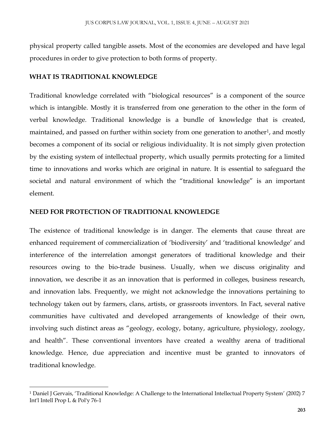physical property called tangible assets. Most of the economies are developed and have legal procedures in order to give protection to both forms of property.

#### **WHAT IS TRADITIONAL KNOWLEDGE**

 $\overline{\phantom{a}}$ 

Traditional knowledge correlated with "biological resources" is a component of the source which is intangible. Mostly it is transferred from one generation to the other in the form of verbal knowledge. Traditional knowledge is a bundle of knowledge that is created, maintained, and passed on further within society from one generation to another<sup>1</sup>, and mostly becomes a component of its social or religious individuality. It is not simply given protection by the existing system of intellectual property, which usually permits protecting for a limited time to innovations and works which are original in nature. It is essential to safeguard the societal and natural environment of which the "traditional knowledge" is an important element.

#### **NEED FOR PROTECTION OF TRADITIONAL KNOWLEDGE**

The existence of traditional knowledge is in danger. The elements that cause threat are enhanced requirement of commercialization of 'biodiversity' and 'traditional knowledge' and interference of the interrelation amongst generators of traditional knowledge and their resources owing to the bio-trade business. Usually, when we discuss originality and innovation, we describe it as an innovation that is performed in colleges, business research, and innovation labs. Frequently, we might not acknowledge the innovations pertaining to technology taken out by farmers, clans, artists, or grassroots inventors. In Fact, several native communities have cultivated and developed arrangements of knowledge of their own, involving such distinct areas as "geology, ecology, botany, agriculture, physiology, zoology, and health". These conventional inventors have created a wealthy arena of traditional knowledge. Hence, due appreciation and incentive must be granted to innovators of traditional knowledge.

<sup>1</sup> Daniel J Gervais, 'Traditional Knowledge: A Challenge to the International Intellectual Property System' (2002) 7 Int'l Intell Prop L & Pol'y 76-1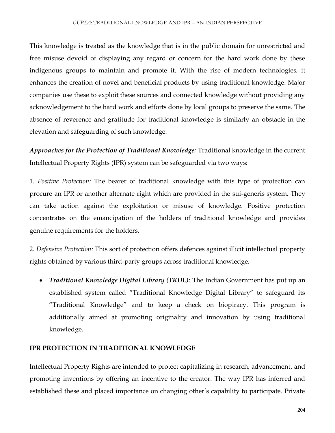This knowledge is treated as the knowledge that is in the public domain for unrestricted and free misuse devoid of displaying any regard or concern for the hard work done by these indigenous groups to maintain and promote it. With the rise of modern technologies, it enhances the creation of novel and beneficial products by using traditional knowledge. Major companies use these to exploit these sources and connected knowledge without providing any acknowledgement to the hard work and efforts done by local groups to preserve the same. The absence of reverence and gratitude for traditional knowledge is similarly an obstacle in the elevation and safeguarding of such knowledge.

*Approaches for the Protection of Traditional Knowledge:* Traditional knowledge in the current Intellectual Property Rights (IPR) system can be safeguarded via two ways:

1. *Positive Protection:* The bearer of traditional knowledge with this type of protection can procure an IPR or another alternate right which are provided in the sui-generis system. They can take action against the exploitation or misuse of knowledge. Positive protection concentrates on the emancipation of the holders of traditional knowledge and provides genuine requirements for the holders.

2. *Defensive Protection:* This sort of protection offers defences against illicit intellectual property rights obtained by various third-party groups across traditional knowledge.

 *Traditional Knowledge Digital Library (TKDL):* The Indian Government has put up an established system called "Traditional Knowledge Digital Library" to safeguard its "Traditional Knowledge" and to keep a check on biopiracy. This program is additionally aimed at promoting originality and innovation by using traditional knowledge.

# **IPR PROTECTION IN TRADITIONAL KNOWLEDGE**

Intellectual Property Rights are intended to protect capitalizing in research, advancement, and promoting inventions by offering an incentive to the creator. The way IPR has inferred and established these and placed importance on changing other's capability to participate. Private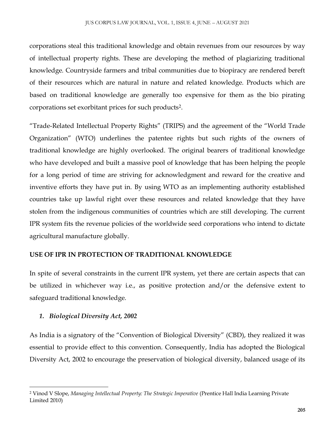corporations steal this traditional knowledge and obtain revenues from our resources by way of intellectual property rights. These are developing the method of plagiarizing traditional knowledge. Countryside farmers and tribal communities due to biopiracy are rendered bereft of their resources which are natural in nature and related knowledge. Products which are based on traditional knowledge are generally too expensive for them as the bio pirating corporations set exorbitant prices for such products<sup>2</sup> .

"Trade-Related Intellectual Property Rights" (TRIPS) and the agreement of the "World Trade Organization" (WTO) underlines the patentee rights but such rights of the owners of traditional knowledge are highly overlooked. The original bearers of traditional knowledge who have developed and built a massive pool of knowledge that has been helping the people for a long period of time are striving for acknowledgment and reward for the creative and inventive efforts they have put in. By using WTO as an implementing authority established countries take up lawful right over these resources and related knowledge that they have stolen from the indigenous communities of countries which are still developing. The current IPR system fits the revenue policies of the worldwide seed corporations who intend to dictate agricultural manufacture globally.

# **USE OF IPR IN PROTECTION OF TRADITIONAL KNOWLEDGE**

In spite of several constraints in the current IPR system, yet there are certain aspects that can be utilized in whichever way i.e., as positive protection and/or the defensive extent to safeguard traditional knowledge.

# *1. Biological Diversity Act, 2002*

As India is a signatory of the "Convention of Biological Diversity" (CBD), they realized it was essential to provide effect to this convention. Consequently, India has adopted the Biological Diversity Act, 2002 to encourage the preservation of biological diversity, balanced usage of its

 $\overline{\phantom{a}}$ <sup>2</sup> Vinod V Slope, *Managing Intellectual Property: The Strategic Imperative* (Prentice Hall India Learning Private Limited 2010)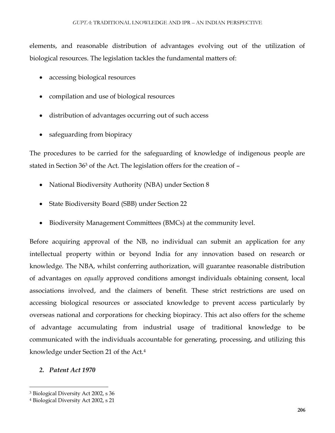elements, and reasonable distribution of advantages evolving out of the utilization of biological resources. The legislation tackles the fundamental matters of:

- accessing biological resources
- compilation and use of biological resources
- distribution of advantages occurring out of such access
- safeguarding from biopiracy

The procedures to be carried for the safeguarding of knowledge of indigenous people are stated in Section 36<sup>3</sup> of the Act. The legislation offers for the creation of  $-$ 

- National Biodiversity Authority (NBA) under Section 8
- State Biodiversity Board (SBB) under Section 22
- Biodiversity Management Committees (BMCs) at the community level.

Before acquiring approval of the NB, no individual can submit an application for any intellectual property within or beyond India for any innovation based on research or knowledge. The NBA, whilst conferring authorization, will guarantee reasonable distribution of advantages on *equally* approved conditions amongst individuals obtaining consent, local associations involved, and the claimers of benefit. These strict restrictions are used on accessing biological resources or associated knowledge to prevent access particularly by overseas national and corporations for checking biopiracy. This act also offers for the scheme of advantage accumulating from industrial usage of traditional knowledge to be communicated with the individuals accountable for generating, processing, and utilizing this knowledge under Section 21 of the Act.<sup>4</sup>

# *2. Patent Act 1970*

 $\overline{\phantom{a}}$ 

<sup>3</sup> Biological Diversity Act 2002, s 36

<sup>4</sup> Biological Diversity Act 2002, s 21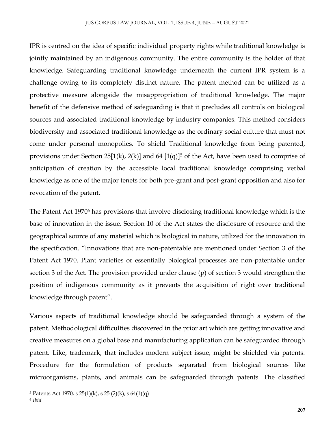IPR is centred on the idea of specific individual property rights while traditional knowledge is jointly maintained by an indigenous community. The entire community is the holder of that knowledge. Safeguarding traditional knowledge underneath the current IPR system is a challenge owing to its completely distinct nature. The patent method can be utilized as a protective measure alongside the misappropriation of traditional knowledge. The major benefit of the defensive method of safeguarding is that it precludes all controls on biological sources and associated traditional knowledge by industry companies. This method considers biodiversity and associated traditional knowledge as the ordinary social culture that must not come under personal monopolies. To shield Traditional knowledge from being patented, provisions under Section 25[1(k), 2(k)] and 64 [1(q)]<sup>5</sup> of the Act, have been used to comprise of anticipation of creation by the accessible local traditional knowledge comprising verbal knowledge as one of the major tenets for both pre-grant and post-grant opposition and also for revocation of the patent.

The Patent Act 1970<sup>6</sup> has provisions that involve disclosing traditional knowledge which is the base of innovation in the issue. Section 10 of the Act states the disclosure of resource and the geographical source of any material which is biological in nature, utilized for the innovation in the specification. "Innovations that are non-patentable are mentioned under Section 3 of the Patent Act 1970. Plant varieties or essentially biological processes are non-patentable under section 3 of the Act. The provision provided under clause (p) of section 3 would strengthen the position of indigenous community as it prevents the acquisition of right over traditional knowledge through patent".

Various aspects of traditional knowledge should be safeguarded through a system of the patent. Methodological difficulties discovered in the prior art which are getting innovative and creative measures on a global base and manufacturing application can be safeguarded through patent. Like, trademark, that includes modern subject issue, might be shielded via patents. Procedure for the formulation of products separated from biological sources like microorganisms, plants, and animals can be safeguarded through patents. The classified

 $\overline{\phantom{a}}$ 

 $5$  Patents Act 1970, s  $25(1)(k)$ , s  $25(2)(k)$ , s  $64(1)(q)$ 

<sup>6</sup> *Ibid*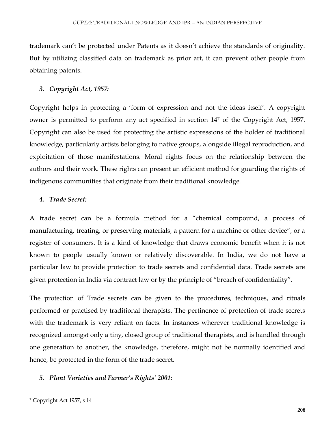trademark can't be protected under Patents as it doesn't achieve the standards of originality. But by utilizing classified data on trademark as prior art, it can prevent other people from obtaining patents.

#### *3. Copyright Act, 1957:*

Copyright helps in protecting a 'form of expression and not the ideas itself'. A copyright owner is permitted to perform any act specified in section 14<sup>7</sup> of the Copyright Act, 1957. Copyright can also be used for protecting the artistic expressions of the holder of traditional knowledge, particularly artists belonging to native groups, alongside illegal reproduction, and exploitation of those manifestations. Moral rights focus on the relationship between the authors and their work. These rights can present an efficient method for guarding the rights of indigenous communities that originate from their traditional knowledge.

# *4. Trade Secret:*

A trade secret can be a formula method for a "chemical compound, a process of manufacturing, treating, or preserving materials, a pattern for a machine or other device", or a register of consumers. It is a kind of knowledge that draws economic benefit when it is not known to people usually known or relatively discoverable. In India, we do not have a particular law to provide protection to trade secrets and confidential data. Trade secrets are given protection in India via contract law or by the principle of "breach of confidentiality".

The protection of Trade secrets can be given to the procedures, techniques, and rituals performed or practised by traditional therapists. The pertinence of protection of trade secrets with the trademark is very reliant on facts. In instances wherever traditional knowledge is recognized amongst only a tiny, closed group of traditional therapists, and is handled through one generation to another, the knowledge, therefore, might not be normally identified and hence, be protected in the form of the trade secret.

# *5. Plant Varieties and Farmer's Rights' 2001:*

 $\overline{\phantom{a}}$ 

<sup>7</sup> Copyright Act 1957, s 14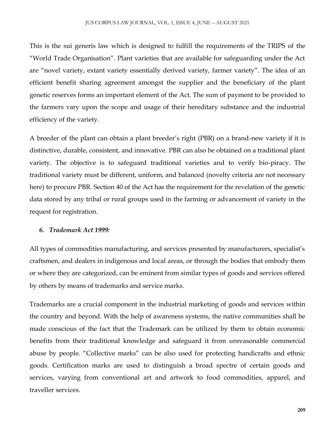This is the sui generis law which is designed to fulfill the requirements of the TRIPS of the "World Trade Organisation". Plant varieties that are available for safeguarding under the Act are "novel variety, extant variety essentially derived variety, farmer variety". The idea of an efficient benefit sharing agreement amongst the supplier and the beneficiary of the plant genetic reserves forms an important element of the Act. The sum of payment to be provided to the farmers vary upon the scope and usage of their hereditary substance and the industrial efficiency of the variety.

A breeder of the plant can obtain a plant breeder's right (PBR) on a brand-new variety if it is distinctive, durable, consistent, and innovative. PBR can also be obtained on a traditional plant variety. The objective is to safeguard traditional varieties and to verify bio-piracy. The traditional variety must be different, uniform, and balanced (novelty criteria are not necessary here) to procure PBR. Section 40 of the Act has the requirement for the revelation of the genetic data stored by any tribal or rural groups used in the farming or advancement of variety in the request for registration.

#### *6. Trademark Act 1999:*

All types of commodities manufacturing, and services presented by manufacturers, specialist's craftsmen, and dealers in indigenous and local areas, or through the bodies that embody them or where they are categorized, can be eminent from similar types of goods and services offered by others by means of trademarks and service marks.

Trademarks are a crucial component in the industrial marketing of goods and services within the country and beyond. With the help of awareness systems, the native communities shall be made conscious of the fact that the Trademark can be utilized by them to obtain economic benefits from their traditional knowledge and safeguard it from unreasonable commercial abuse by people. "Collective marks" can be also used for protecting handicrafts and ethnic goods. Certification marks are used to distinguish a broad spectre of certain goods and services, varying from conventional art and artwork to food commodities, apparel, and traveller services.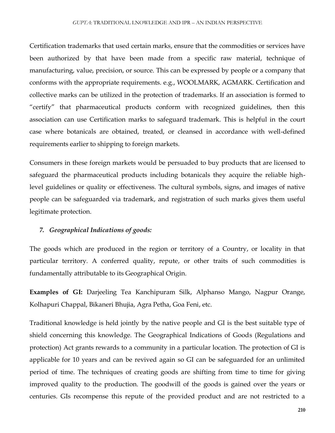Certification trademarks that used certain marks, ensure that the commodities or services have been authorized by that have been made from a specific raw material, technique of manufacturing, value, precision, or source. This can be expressed by people or a company that conforms with the appropriate requirements. e.g., WOOLMARK, AGMARK. Certification and collective marks can be utilized in the protection of trademarks. If an association is formed to "certify" that pharmaceutical products conform with recognized guidelines, then this association can use Certification marks to safeguard trademark. This is helpful in the court case where botanicals are obtained, treated, or cleansed in accordance with well-defined requirements earlier to shipping to foreign markets.

Consumers in these foreign markets would be persuaded to buy products that are licensed to safeguard the pharmaceutical products including botanicals they acquire the reliable highlevel guidelines or quality or effectiveness. The cultural symbols, signs, and images of native people can be safeguarded via trademark, and registration of such marks gives them useful legitimate protection.

#### *7. Geographical Indications of goods:*

The goods which are produced in the region or territory of a Country, or locality in that particular territory. A conferred quality, repute, or other traits of such commodities is fundamentally attributable to its Geographical Origin.

**Examples of GI:** Darjeeling Tea Kanchipuram Silk, Alphanso Mango, Nagpur Orange, Kolhapuri Chappal, Bikaneri Bhujia, Agra Petha, Goa Feni, etc.

Traditional knowledge is held jointly by the native people and GI is the best suitable type of shield concerning this knowledge. The Geographical Indications of Goods (Regulations and protection) Act grants rewards to a community in a particular location. The protection of GI is applicable for 10 years and can be revived again so GI can be safeguarded for an unlimited period of time. The techniques of creating goods are shifting from time to time for giving improved quality to the production. The goodwill of the goods is gained over the years or centuries. GIs recompense this repute of the provided product and are not restricted to a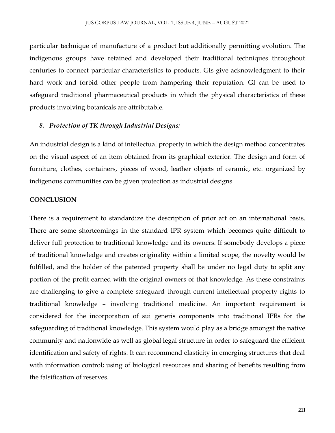particular technique of manufacture of a product but additionally permitting evolution. The indigenous groups have retained and developed their traditional techniques throughout centuries to connect particular characteristics to products. GIs give acknowledgment to their hard work and forbid other people from hampering their reputation. GI can be used to safeguard traditional pharmaceutical products in which the physical characteristics of these products involving botanicals are attributable.

#### *8. Protection of TK through Industrial Designs:*

An industrial design is a kind of intellectual property in which the design method concentrates on the visual aspect of an item obtained from its graphical exterior. The design and form of furniture, clothes, containers, pieces of wood, leather objects of ceramic, etc. organized by indigenous communities can be given protection as industrial designs.

#### **CONCLUSION**

There is a requirement to standardize the description of prior art on an international basis. There are some shortcomings in the standard IPR system which becomes quite difficult to deliver full protection to traditional knowledge and its owners. If somebody develops a piece of traditional knowledge and creates originality within a limited scope, the novelty would be fulfilled, and the holder of the patented property shall be under no legal duty to split any portion of the profit earned with the original owners of that knowledge. As these constraints are challenging to give a complete safeguard through current intellectual property rights to traditional knowledge – involving traditional medicine. An important requirement is considered for the incorporation of sui generis components into traditional IPRs for the safeguarding of traditional knowledge. This system would play as a bridge amongst the native community and nationwide as well as global legal structure in order to safeguard the efficient identification and safety of rights. It can recommend elasticity in emerging structures that deal with information control; using of biological resources and sharing of benefits resulting from the falsification of reserves.